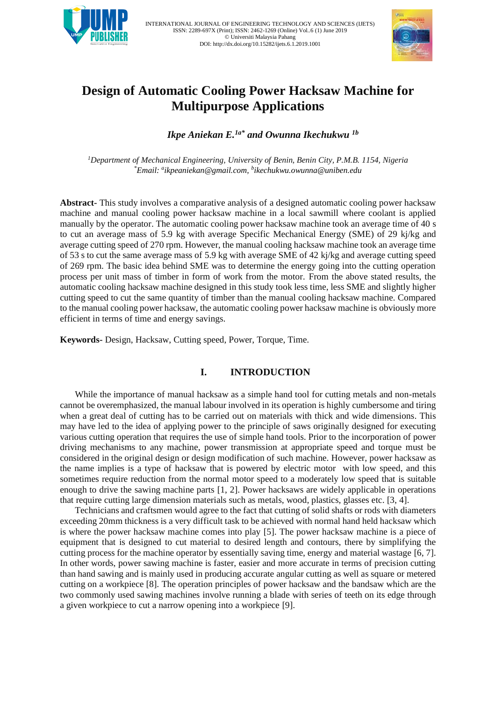



# **Design of Automatic Cooling Power Hacksaw Machine for Multipurpose Applications**

*Ikpe Aniekan E.1a\* and Owunna Ikechukwu 1b*

*<sup>1</sup>Department of Mechanical Engineering, University of Benin, Benin City, P.M.B. 1154, Nigeria \*Email: <sup>a</sup> [ikpeaniekan@gmail.com,](mailto:ikpeaniekan@gmail.com) b ikechukwu.owunna@uniben.edu*

**Abstract-** This study involves a comparative analysis of a designed automatic cooling power hacksaw machine and manual cooling power hacksaw machine in a local sawmill where coolant is applied manually by the operator. The automatic cooling power hacksaw machine took an average time of 40 s to cut an average mass of 5.9 kg with average Specific Mechanical Energy (SME) of 29 kj/kg and average cutting speed of 270 rpm. However, the manual cooling hacksaw machine took an average time of 53 s to cut the same average mass of 5.9 kg with average SME of 42 kj/kg and average cutting speed of 269 rpm. The basic idea behind SME was to determine the energy going into the cutting operation process per unit mass of timber in form of work from the motor. From the above stated results, the automatic cooling hacksaw machine designed in this study took less time, less SME and slightly higher cutting speed to cut the same quantity of timber than the manual cooling hacksaw machine. Compared to the manual cooling power hacksaw, the automatic cooling power hacksaw machine is obviously more efficient in terms of time and energy savings.

**Keywords-** Design, Hacksaw, Cutting speed, Power, Torque, Time.

# **I. INTRODUCTION**

While the importance of manual hacksaw as a simple hand tool for cutting metals and non-metals cannot be overemphasized, the manual labour involved in its operation is highly cumbersome and tiring when a great deal of cutting has to be carried out on materials with thick and wide dimensions. This may have led to the idea of applying power to the principle of saws originally designed for executing various cutting operation that requires the use of simple hand tools. Prior to the incorporation of power driving mechanisms to any machine, power transmission at appropriate speed and torque must be considered in the original design or design modification of such machine. However, power hacksaw as the name implies is a type of hacksaw that is powered by electric motor with low speed, and this sometimes require reduction from the normal motor speed to a moderately low speed that is suitable enough to drive the sawing machine parts [1, 2]. Power hacksaws are widely applicable in operations that require cutting large dimension materials such as metals, wood, plastics, glasses etc. [3, 4].

Technicians and craftsmen would agree to the fact that cutting of solid shafts or rods with diameters exceeding 20mm thickness is a very difficult task to be achieved with normal hand held hacksaw which is where the power hacksaw machine comes into play [5]. The power hacksaw machine is a piece of equipment that is designed to cut material to desired length and contours, there by simplifying the cutting process for the machine operator by essentially saving time, energy and material wastage [6, 7]. In other words, power sawing machine is faster, easier and more accurate in terms of precision cutting than hand sawing and is mainly used in producing accurate angular cutting as well as square or metered cutting on a workpiece [8]. The operation principles of power hacksaw and the bandsaw which are the two commonly used sawing machines involve running a blade with series of teeth on its edge through a given workpiece to cut a narrow opening into a workpiece [9].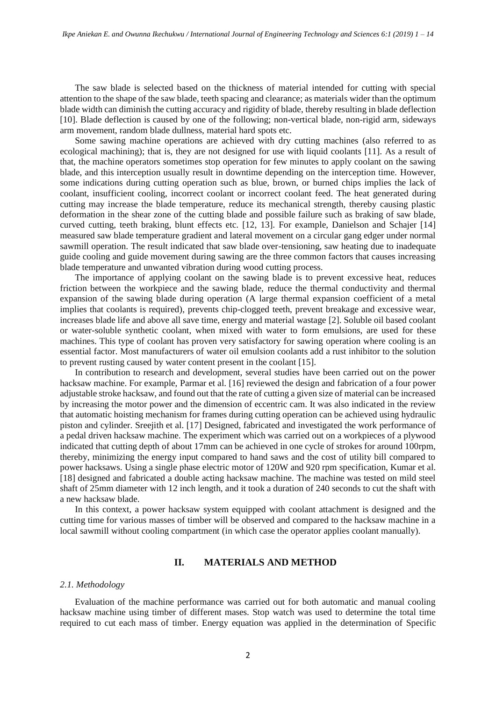The saw blade is selected based on the thickness of material intended for cutting with special attention to the shape of the saw blade, teeth spacing and clearance; as materials wider than the optimum blade width can diminish the cutting accuracy and rigidity of blade, thereby resulting in blade deflection [10]. Blade deflection is caused by one of the following; non-vertical blade, non-rigid arm, sideways arm movement, random blade dullness, material hard spots etc.

Some sawing machine operations are achieved with dry cutting machines (also referred to as ecological machining); that is, they are not designed for use with liquid coolants [11]. As a result of that, the machine operators sometimes stop operation for few minutes to apply coolant on the sawing blade, and this interception usually result in downtime depending on the interception time. However, some indications during cutting operation such as blue, brown, or burned chips implies the lack of coolant, insufficient cooling, incorrect coolant or incorrect coolant feed. The heat generated during cutting may increase the blade temperature, reduce its mechanical strength, thereby causing plastic deformation in the shear zone of the cutting blade and possible failure such as braking of saw blade, curved cutting, teeth braking, blunt effects etc. [12, 13]. For example, Danielson and Schajer [14] measured saw blade temperature gradient and lateral movement on a circular gang edger under normal sawmill operation. The result indicated that saw blade over-tensioning, saw heating due to inadequate guide cooling and guide movement during sawing are the three common factors that causes increasing blade temperature and unwanted vibration during wood cutting process.

The importance of applying coolant on the sawing blade is to prevent excessive heat, reduces friction between the workpiece and the sawing blade, reduce the thermal conductivity and thermal expansion of the sawing blade during operation (A large thermal expansion coefficient of a metal implies that coolants is required), prevents chip-clogged teeth, prevent breakage and excessive wear, increases blade life and above all save time, energy and material wastage [2]. Soluble oil based coolant or water-soluble synthetic coolant, when mixed with water to form emulsions, are used for these machines. This type of coolant has proven very satisfactory for sawing operation where cooling is an essential factor. Most manufacturers of water oil emulsion coolants add a rust inhibitor to the solution to prevent rusting caused by water content present in the coolant [15].

In contribution to research and development, several studies have been carried out on the power hacksaw machine. For example, Parmar et al. [16] reviewed the design and fabrication of a four power adjustable stroke hacksaw, and found out that the rate of cutting a given size of material can be increased by increasing the motor power and the dimension of eccentric cam. It was also indicated in the review that automatic hoisting mechanism for frames during cutting operation can be achieved using hydraulic piston and cylinder. Sreejith et al. [17] Designed, fabricated and investigated the work performance of a pedal driven hacksaw machine. The experiment which was carried out on a workpieces of a plywood indicated that cutting depth of about 17mm can be achieved in one cycle of strokes for around 100rpm, thereby, minimizing the energy input compared to hand saws and the cost of utility bill compared to power hacksaws. Using a single phase electric motor of 120W and 920 rpm specification, Kumar et al. [18] designed and fabricated a double acting hacksaw machine. The machine was tested on mild steel shaft of 25mm diameter with 12 inch length, and it took a duration of 240 seconds to cut the shaft with a new hacksaw blade.

In this context, a power hacksaw system equipped with coolant attachment is designed and the cutting time for various masses of timber will be observed and compared to the hacksaw machine in a local sawmill without cooling compartment (in which case the operator applies coolant manually).

# **II. MATERIALS AND METHOD**

#### *2.1. Methodology*

Evaluation of the machine performance was carried out for both automatic and manual cooling hacksaw machine using timber of different mases. Stop watch was used to determine the total time required to cut each mass of timber. Energy equation was applied in the determination of Specific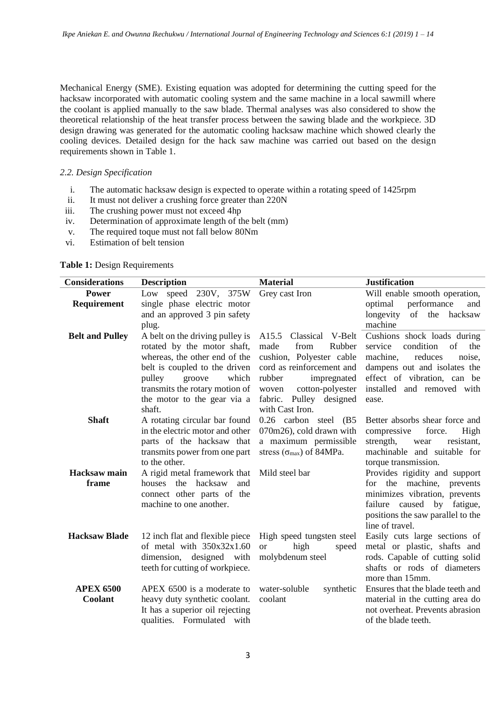Mechanical Energy (SME). Existing equation was adopted for determining the cutting speed for the hacksaw incorporated with automatic cooling system and the same machine in a local sawmill where the coolant is applied manually to the saw blade. Thermal analyses was also considered to show the theoretical relationship of the heat transfer process between the sawing blade and the workpiece. 3D design drawing was generated for the automatic cooling hacksaw machine which showed clearly the cooling devices. Detailed design for the hack saw machine was carried out based on the design requirements shown in Table 1.

# *2.2. Design Specification*

- i. The automatic hacksaw design is expected to operate within a rotating speed of 1425rpm
- ii. It must not deliver a crushing force greater than 220N
- iii. The crushing power must not exceed 4hp
- iv. Determination of approximate length of the belt (mm)
- v. The required toque must not fall below 80Nm
- vi. Estimation of belt tension

## **Table 1:** Design Requirements

| <b>Considerations</b>  | <b>Description</b>                                               | <b>Material</b>                            | <b>Justification</b>                                   |  |  |  |
|------------------------|------------------------------------------------------------------|--------------------------------------------|--------------------------------------------------------|--|--|--|
| <b>Power</b>           | Low speed 230V, 375W                                             | Grey cast Iron                             | Will enable smooth operation,                          |  |  |  |
| Requirement            | single phase electric motor                                      |                                            | performance<br>optimal<br>and                          |  |  |  |
|                        | and an approved 3 pin safety                                     |                                            | of the hacksaw<br>longevity                            |  |  |  |
|                        | plug.                                                            |                                            | machine                                                |  |  |  |
| <b>Belt and Pulley</b> | A belt on the driving pulley is                                  | A15.5 Classical V-Belt                     | Cushions shock loads during                            |  |  |  |
|                        | rotated by the motor shaft,                                      | Rubber<br>made<br>from                     | condition<br>of<br>service<br>the                      |  |  |  |
|                        | whereas, the other end of the                                    | cushion, Polyester cable                   | machine,<br>reduces<br>noise,                          |  |  |  |
|                        | belt is coupled to the driven                                    | cord as reinforcement and                  | dampens out and isolates the                           |  |  |  |
|                        | pulley<br>groove<br>which                                        | rubber<br>impregnated                      | effect of vibration, can be                            |  |  |  |
|                        | transmits the rotary motion of                                   | cotton-polyester<br>woven                  | installed and removed with                             |  |  |  |
|                        | the motor to the gear via a                                      | fabric. Pulley designed<br>with Cast Iron. | ease.                                                  |  |  |  |
| <b>Shaft</b>           | shaft.                                                           | 0.26 carbon steel (B5                      | Better absorbs shear force and                         |  |  |  |
|                        | A rotating circular bar found<br>in the electric motor and other | 070m26), cold drawn with                   | compressive<br>force.<br>High                          |  |  |  |
|                        | parts of the hacksaw that                                        | a maximum permissible                      | strength,<br>resistant,<br>wear                        |  |  |  |
|                        | transmits power from one part                                    | stress ( $\sigma_{\text{max}}$ ) of 84MPa. | machinable and suitable for                            |  |  |  |
|                        | to the other.                                                    |                                            | torque transmission.                                   |  |  |  |
| <b>Hacksaw</b> main    | A rigid metal framework that                                     | Mild steel bar                             | Provides rigidity and support                          |  |  |  |
| frame                  | houses the hacksaw<br>and                                        |                                            | for the machine, prevents                              |  |  |  |
|                        | connect other parts of the                                       |                                            | minimizes vibration, prevents                          |  |  |  |
|                        | machine to one another.                                          |                                            | failure caused by fatigue,                             |  |  |  |
|                        |                                                                  |                                            | positions the saw parallel to the                      |  |  |  |
|                        |                                                                  |                                            | line of travel.                                        |  |  |  |
| <b>Hacksaw Blade</b>   | 12 inch flat and flexible piece                                  | High speed tungsten steel                  | Easily cuts large sections of                          |  |  |  |
|                        | of metal with $350x32x1.60$                                      | high<br>speed<br><b>or</b>                 | metal or plastic, shafts and                           |  |  |  |
|                        | dimension, designed with                                         | molybdenum steel                           | rods. Capable of cutting solid                         |  |  |  |
|                        | teeth for cutting of workpiece.                                  |                                            | shafts or rods of diameters                            |  |  |  |
|                        |                                                                  |                                            | more than 15mm.                                        |  |  |  |
| <b>APEX 6500</b>       | APEX 6500 is a moderate to                                       | water-soluble<br>synthetic                 | Ensures that the blade teeth and                       |  |  |  |
| Coolant                | heavy duty synthetic coolant.                                    | coolant                                    | material in the cutting area do                        |  |  |  |
|                        | It has a superior oil rejecting                                  |                                            | not overheat. Prevents abrasion<br>of the blade teeth. |  |  |  |
|                        | qualities. Formulated with                                       |                                            |                                                        |  |  |  |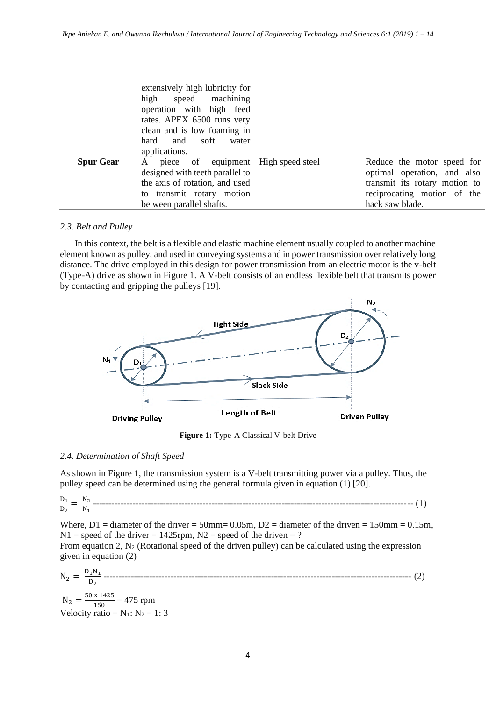|                  | extensively high lubricity for<br>high speed machining<br>operation with high feed<br>rates. APEX 6500 runs very<br>clean and is low foaming in |                               |
|------------------|-------------------------------------------------------------------------------------------------------------------------------------------------|-------------------------------|
|                  | hard and soft<br>water                                                                                                                          |                               |
|                  | applications.                                                                                                                                   |                               |
| <b>Spur Gear</b> | A piece of equipment High speed steel                                                                                                           | Reduce the motor speed for    |
|                  | designed with teeth parallel to                                                                                                                 | optimal operation, and also   |
|                  | the axis of rotation, and used                                                                                                                  | transmit its rotary motion to |
|                  | to transmit rotary motion                                                                                                                       | reciprocating motion of the   |
|                  | between parallel shafts.                                                                                                                        | hack saw blade.               |

### *2.3. Belt and Pulley*

In this context, the belt is a flexible and elastic machine element usually coupled to another machine element known as pulley, and used in conveying systems and in power transmission over relatively long distance. The drive employed in this design for power transmission from an electric motor is the v-belt (Type-A) drive as shown in Figure 1. A V-belt consists of an endless flexible belt that transmits power by contacting and gripping the pulleys [19].



**Figure 1:** Type-A Classical V-belt Drive

### *2.4. Determination of Shaft Speed*

As shown in Figure 1, the transmission system is a V-belt transmitting power via a pulley. Thus, the pulley speed can be determined using the general formula given in equation (1) [20].

D1 D2 = N2 N1 --------------------------------------------------------------------------------------------------------- (1)

Where,  $D1 =$  diameter of the driver = 50mm= 0.05m,  $D2 =$  diameter of the driven = 150mm = 0.15m,  $N1$  = speed of the driver = 1425rpm,  $N2$  = speed of the driven = ?

From equation 2,  $N_2$  (Rotational speed of the driven pulley) can be calculated using the expression given in equation (2)

N<sup>2</sup> = D1N1 D2 ----------------------------------------------------------------------------------------------------- (2)

 $N_2 = \frac{50 \times 1425}{150}$  $\frac{x}{150}$  = 475 rpm Velocity ratio =  $N_1$ :  $N_2$  = 1: 3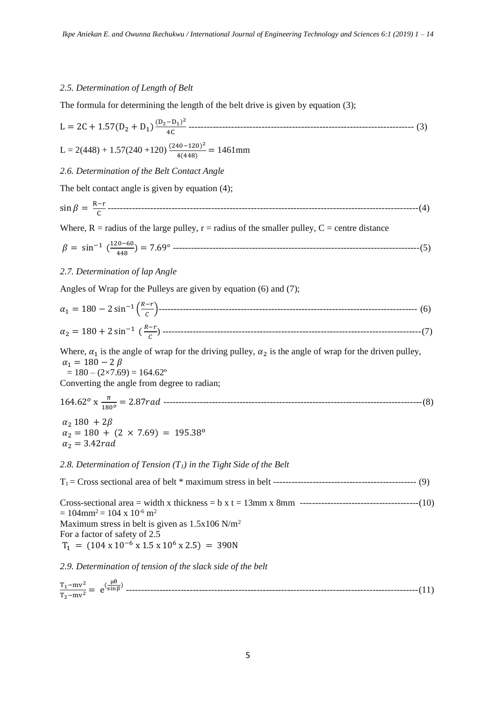# *2.5. Determination of Length of Belt*

The formula for determining the length of the belt drive is given by equation (3);

1.1 
$$
2C + 1.57(D_2 + D_1) \frac{(D_2 - D_1)^2}{4C}
$$
  
\nL = 2( $448$ ) + 1.57( $240$  +120)  $\frac{(240-120)^2}{4(448)}$  = 1461mm  
\n2.6. Determination of the *Belt Center* Angle  
\nThe *belt contact angle* is given by equation (4);  
\n $sin \beta = \frac{R-r}{c}$   
\n $\beta = sin^{-1} (\frac{120-60}{448}) = 7.69°$   
\n2.7. Determination of *lap Angle*  
\nAngles of Warp for the Pulleys are given by equation (6) and (7);  
\n $\alpha_1 = 180 - 2 sin^{-1} (\frac{R-r}{c})$   
\nWhere,  $\alpha_1$  is the angle of wrap for the driving pulley,  $\alpha_2$  is the angle of wrap for the driven pulley,  
\n $\alpha_1 = 180 - 2 sin^{-1} (\frac{R-r}{c})$   
\nWhere,  $\alpha_1$  is the angle of wrap for the driving pulley,  $\alpha_2$  is the angle of wrap for the driven pulley,  
\n $\alpha_1 = 180 - 2\beta$   
\n= 180 - 2/69) = 164.62°  
\nConverting the angle from degree to radian;  
\n164.62° x  $\frac{\pi}{180°} = 2.87 rad$   
\n $\alpha_2 = 180 + (2 \times 7.69) = 195.38°$   
\n $\alpha_2 = 3.42 rad$   
\n2.8. Determination of Tension (T<sub>i</sub>) in the Tight Side of the *Belt*  
\nT<sub>1</sub> = Cross sectional area = width x thickness = b x t = 13mm x 8mm  
\n= 104mm<sup>2</sup> = 104 × 10<sup>-6</sup> m<sup>2</sup>  
\nMaximum stress in belt is given as 1.5x106 N/m<sup>2</sup>  
\nT<sub>1</sub> = (104 × 10<sup>-6</sup> s<sup>2</sup> + 5.8 × 10<sup>6</sup> s<sup>2</sup>  
\n3. Determine  $\alpha_1$  and  $\alpha_2$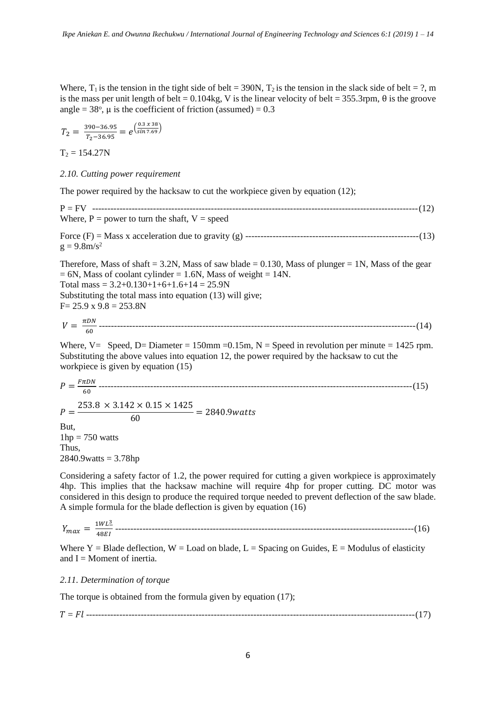Where,  $T_1$  is the tension in the tight side of belt = 390N,  $T_2$  is the tension in the slack side of belt = ?, m is the mass per unit length of belt = 0.104kg, V is the linear velocity of belt = 355.3rpm,  $\theta$  is the groove angle =  $38^\circ$ ,  $\mu$  is the coefficient of friction (assumed) = 0.3

$$
T_2 = \frac{390 - 36.95}{T_2 - 36.95} = e^{\left(\frac{0.3 \times 38}{\sin 7.69}\right)}
$$

 $T_2 = 154.27N$ 

*2.10. Cutting power requirement*

The power required by the hacksaw to cut the workpiece given by equation (12);

P = FV -----------------------------------------------------------------------------------------------------------(12) Where,  $P = power$  to turn the shaft,  $V = speed$ Force (F) = Mass x acceleration due to gravity (g) ---------------------------------------------------------(13)  $g = 9.8 \text{m/s}^2$ Therefore, Mass of shaft = 3.2N, Mass of saw blade =  $0.130$ , Mass of plunger = 1N, Mass of the gear

 $= 6N$ , Mass of coolant cylinder  $= 1.6N$ , Mass of weight  $= 14N$ . Total mass =  $3.2+0.130+1+6+1.6+14 = 25.9N$ Substituting the total mass into equation (13) will give;  $F= 25.9 \times 9.8 = 253.8N$ 

 = 60 --------------------------------------------------------------------------------------------------------(14)

Where,  $V=$  Speed, D= Diameter = 150mm = 0.15m, N = Speed in revolution per minute = 1425 rpm. Substituting the above values into equation 12, the power required by the hacksaw to cut the workpiece is given by equation (15)

 = 60 -------------------------------------------------------------------------------------------------------(15) = 253.8 × 3.142 × 0.15 × 1425 <sup>60</sup> <sup>=</sup> 2840.9

But,  $1hp = 750$  watts Thus,  $2840.9$ watts = 3.78hp

Considering a safety factor of 1.2, the power required for cutting a given workpiece is approximately 4hp. This implies that the hacksaw machine will require 4hp for proper cutting. DC motor was considered in this design to produce the required torque needed to prevent deflection of the saw blade. A simple formula for the blade deflection is given by equation (16)

 = 1<sup>3</sup> 48 --------------------------------------------------------------------------------------------------(16)

Where  $Y = Blade deflection, W = Load$  on blade,  $L = Spacing$  on Guides,  $E = Modulus$  of elasticity and  $I =$  Moment of inertia.

# *2.11. Determination of torque*

The torque is obtained from the formula given by equation (17);

= ------------------------------------------------------------------------------------------------------------(17)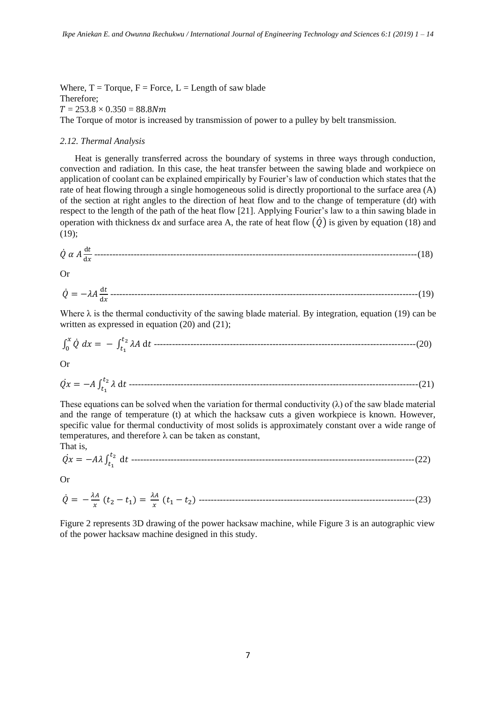Where,  $T = T$ orque,  $F = F$ orce,  $L =$ Length of saw blade Therefore;  $T = 253.8 \times 0.350 = 88.8 Nm$ The Torque of motor is increased by transmission of power to a pulley by belt transmission.

### *2.12. Thermal Analysis*

Heat is generally transferred across the boundary of systems in three ways through conduction, convection and radiation. In this case, the heat transfer between the sawing blade and workpiece on application of coolant can be explained empirically by Fourier's law of conduction which states that the rate of heat flowing through a single homogeneous solid is directly proportional to the surface area (A) of the section at right angles to the direction of heat flow and to the change of temperature (d*t*) with respect to the length of the path of the heat flow [21]. Applying Fourier's law to a thin sawing blade in operation with thickness dx and surface area A, the rate of heat flow  $(\dot{\theta})$  is given by equation (18) and (19);

$$
\dot{Q} \alpha A \frac{dt}{dx}
$$
................. (18)

Or

$$
\dot{Q} = -\lambda A \frac{dt}{dx}
$$
.................  
19)

Where  $\lambda$  is the thermal conductivity of the sawing blade material. By integration, equation (19) can be written as expressed in equation (20) and (21);

∫ ̇ = − ∫ d 2 1 0 --------------------------------------------------------------------------------------(20)

Or

̇ = − ∫ d 2 1 -----------------------------------------------------------------------------------------------(21)

These equations can be solved when the variation for thermal conductivity  $(\lambda)$  of the saw blade material and the range of temperature (t) at which the hacksaw cuts a given workpiece is known. However, specific value for thermal conductivity of most solids is approximately constant over a wide range of temperatures, and therefore  $\lambda$  can be taken as constant,

$$
\dot{Qx} = -A\lambda \int_{t_1}^{t_2} dt
$$
 \n $\frac{d}{dx} \int_{t_1}^{t_2} dt$  \n $\frac{d}{dx} \int_{t_1}^{t_2} dx$  \n $\frac{d}{dx} \int_{t_1}^{t_2} dx$  \n $\frac{d}{dx} \int_{t_1}^{t_2} dx$  \n $\frac{d}{dx} \int_{t_1}^{t_2} dx$  \n $\frac{d}{dx} \int_{t_1}^{t_2} dx$  \n $\frac{d}{dx} \int_{t_1}^{t_2} dx$  \n $\frac{d}{dx} \int_{t_1}^{t_2} dx$  \n $\frac{d}{dx} \int_{t_1}^{t_2} dx$  \n $\frac{d}{dx} \int_{t_1}^{t_2} dx$  \n $\frac{d}{dx} \int_{t_1}^{t_2} dx$  \n $\frac{d}{dx} \int_{t_1}^{t_2} dx$  \n $\frac{d}{dx} \int_{t_1}^{t_2} dx$  \n $\frac{d}{dx} \int_{t_1}^{t_2} dx$  \n $\frac{d}{dx} \int_{t_1}^{t_2} dx$  \n $\frac{d}{dx} \int_{t_1}^{t_2} dx$  \n $\frac{d}{dx} \int_{t_1}^{t_2} dx$  \n $\frac{d}{dx} \int_{t_1}^{t_2} dx$  \n $\frac{d}{dx} \int_{t_1}^{t_2} dx$  \n $\frac{d}{dx} \int_{t_1}^{t_2} dx$  \n $\frac{d}{dx} \int_{t_1}^{t_2} dx$  \n $\frac{d}{dx} \int_{t_1}^{t_2} dx$  \n $\frac{d}{dx} \int_{t_1}^{t_2} dx$  \n $\frac{d}{dx} \int_{t_1}^{t_2} dx$  \n $\frac{d}{dx} \int_{t_1}^{t_2} dx$  \n $\frac{d}{dx} \int_{t_1}^{t_2} dx$  \n

Or

That is,

̇ = − (<sup>2</sup> − <sup>1</sup> ) = (<sup>1</sup> − <sup>2</sup> ) -----------------------------------------------------------------------(23)

Figure 2 represents 3D drawing of the power hacksaw machine, while Figure 3 is an autographic view of the power hacksaw machine designed in this study.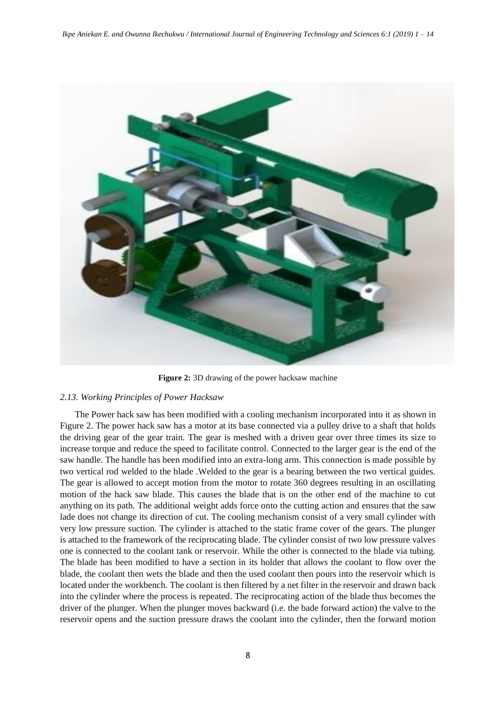

**Figure 2:** 3D drawing of the power hacksaw machine

### *2.13. Working Principles of Power Hacksaw*

The Power hack saw has been modified with a cooling mechanism incorporated into it as shown in Figure 2. The power hack saw has a motor at its base connected via a pulley drive to a shaft that holds the driving gear of the gear train. The gear is meshed with a driven gear over three times its size to increase torque and reduce the speed to facilitate control. Connected to the larger gear is the end of the saw handle. The handle has been modified into an extra-long arm. This connection is made possible by two vertical rod welded to the blade .Welded to the gear is a bearing between the two vertical guides. The gear is allowed to accept motion from the motor to rotate 360 degrees resulting in an oscillating motion of the hack saw blade. This causes the blade that is on the other end of the machine to cut anything on its path. The additional weight adds force onto the cutting action and ensures that the saw lade does not change its direction of cut. The cooling mechanism consist of a very small cylinder with very low pressure suction. The cylinder is attached to the static frame cover of the gears. The plunger is attached to the framework of the reciprocating blade. The cylinder consist of two low pressure valves one is connected to the coolant tank or reservoir. While the other is connected to the blade via tubing. The blade has been modified to have a section in its holder that allows the coolant to flow over the blade, the coolant then wets the blade and then the used coolant then pours into the reservoir which is located under the workbench. The coolant is then filtered by a net filter in the reservoir and drawn back into the cylinder where the process is repeated. The reciprocating action of the blade thus becomes the driver of the plunger. When the plunger moves backward (i.e. the bade forward action) the valve to the reservoir opens and the suction pressure draws the coolant into the cylinder, then the forward motion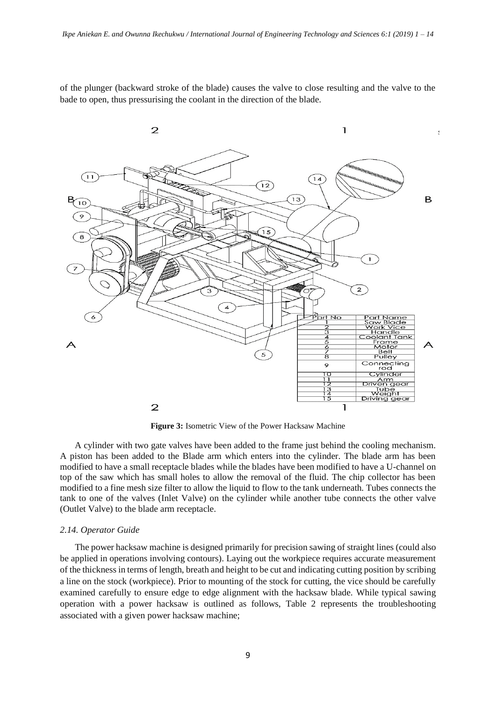of the plunger (backward stroke of the blade) causes the valve to close resulting and the valve to the bade to open, thus pressurising the coolant in the direction of the blade.



**Figure 3:** Isometric View of the Power Hacksaw Machine

A cylinder with two gate valves have been added to the frame just behind the cooling mechanism. A piston has been added to the Blade arm which enters into the cylinder. The blade arm has been modified to have a small receptacle blades while the blades have been modified to have a U-channel on top of the saw which has small holes to allow the removal of the fluid. The chip collector has been modified to a fine mesh size filter to allow the liquid to flow to the tank underneath. Tubes connects the tank to one of the valves (Inlet Valve) on the cylinder while another tube connects the other valve (Outlet Valve) to the blade arm receptacle.

#### *2.14. Operator Guide*

The power hacksaw machine is designed primarily for precision sawing of straight lines (could also be applied in operations involving contours). Laying out the workpiece requires accurate measurement of the thickness in terms of length, breath and height to be cut and indicating cutting position by scribing a line on the stock (workpiece). Prior to mounting of the stock for cutting, the vice should be carefully examined carefully to ensure edge to edge alignment with the hacksaw blade. While typical sawing operation with a power hacksaw is outlined as follows, Table 2 represents the troubleshooting associated with a given power hacksaw machine;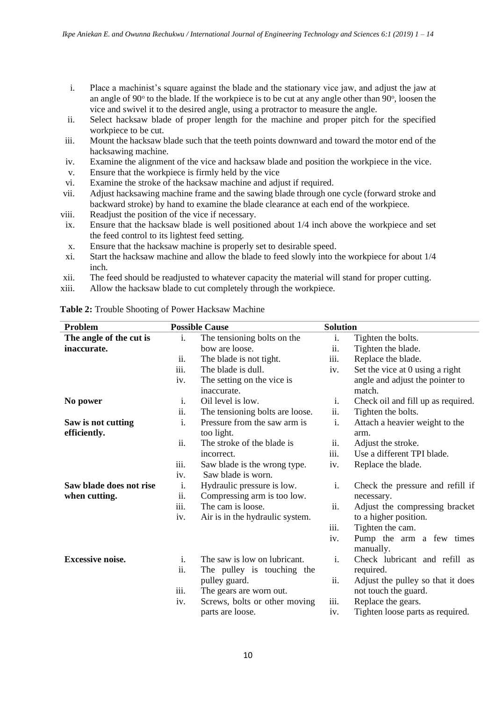- i. Place a machinist's square against the blade and the stationary vice jaw, and adjust the jaw at an angle of 90° to the blade. If the workpiece is to be cut at any angle other than 90°, loosen the vice and swivel it to the desired angle, using a protractor to measure the angle.
- ii. Select hacksaw blade of proper length for the machine and proper pitch for the specified workpiece to be cut.
- iii. Mount the hacksaw blade such that the teeth points downward and toward the motor end of the hacksawing machine.
- iv. Examine the alignment of the vice and hacksaw blade and position the workpiece in the vice.
- v. Ensure that the workpiece is firmly held by the vice
- vi. Examine the stroke of the hacksaw machine and adjust if required.
- vii. Adjust hacksawing machine frame and the sawing blade through one cycle (forward stroke and backward stroke) by hand to examine the blade clearance at each end of the workpiece.
- viii. Readjust the position of the vice if necessary.
- ix. Ensure that the hacksaw blade is well positioned about 1/4 inch above the workpiece and set the feed control to its lightest feed setting.
- x. Ensure that the hacksaw machine is properly set to desirable speed.
- xi. Start the hacksaw machine and allow the blade to feed slowly into the workpiece for about 1/4 inch.
- xii. The feed should be readjusted to whatever capacity the material will stand for proper cutting.
- xiii. Allow the hacksaw blade to cut completely through the workpiece.

| Problem                 |                   | <b>Possible Cause</b>           | <b>Solution</b>            |                                    |
|-------------------------|-------------------|---------------------------------|----------------------------|------------------------------------|
| The angle of the cut is | i.                | The tensioning bolts on the     | i.                         | Tighten the bolts.                 |
| inaccurate.             |                   | bow are loose.                  | $\overline{\mathbf{11}}$ . | Tighten the blade.                 |
|                         | ii.               | The blade is not tight.         | iii.                       | Replace the blade.                 |
|                         | iii.              | The blade is dull.              | iv.                        | Set the vice at 0 using a right    |
|                         | iv.               | The setting on the vice is      |                            | angle and adjust the pointer to    |
|                         |                   | inaccurate.                     |                            | match.                             |
| No power                | i.                | Oil level is low.               | i.                         | Check oil and fill up as required. |
|                         | ii.               | The tensioning bolts are loose. | ii.                        | Tighten the bolts.                 |
| Saw is not cutting      | i.                | Pressure from the saw arm is    | $\mathbf{i}$ .             | Attach a heavier weight to the     |
| efficiently.            |                   | too light.                      |                            | arm.                               |
|                         | ii.               | The stroke of the blade is      | ii.                        | Adjust the stroke.                 |
|                         |                   | incorrect.                      | iii.                       | Use a different TPI blade.         |
|                         | iii.              | Saw blade is the wrong type.    | iv.                        | Replace the blade.                 |
|                         | iv.               | Saw blade is worn.              |                            |                                    |
| Saw blade does not rise | i.                | Hydraulic pressure is low.      | $\mathbf{i}$ .             | Check the pressure and refill if   |
| when cutting.           | $\overline{11}$ . | Compressing arm is too low.     |                            | necessary.                         |
|                         | iii.              | The cam is loose.               | ii.                        | Adjust the compressing bracket     |
|                         | iv.               | Air is in the hydraulic system. |                            | to a higher position.              |
|                         |                   |                                 | iii.                       | Tighten the cam.                   |
|                         |                   |                                 | iv.                        | Pump the arm a few times           |
|                         |                   |                                 |                            | manually.                          |
| <b>Excessive noise.</b> | i.                | The saw is low on lubricant.    | i.                         | Check lubricant and refill as      |
|                         | ii.               | The pulley is touching the      |                            | required.                          |
|                         |                   | pulley guard.                   | ii.                        | Adjust the pulley so that it does  |
|                         | iii.              | The gears are worn out.         |                            | not touch the guard.               |
|                         | iv.               | Screws, bolts or other moving   | iii.                       | Replace the gears.                 |
|                         |                   | parts are loose.                | iv.                        | Tighten loose parts as required.   |

# **Table 2:** Trouble Shooting of Power Hacksaw Machine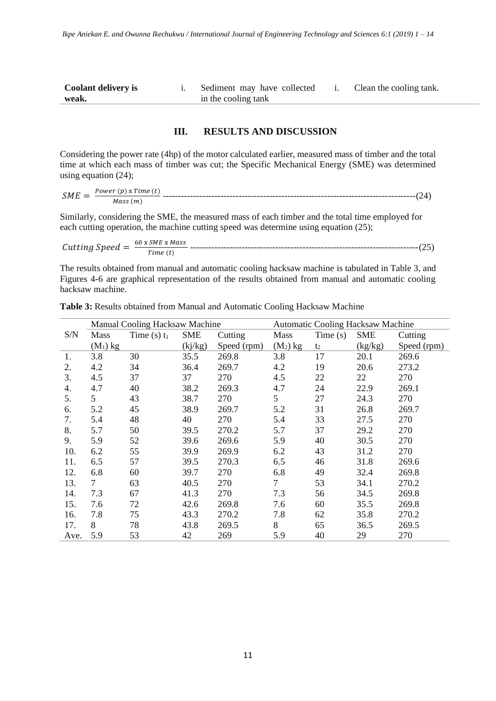| Coolant delivery is | Sediment may have collected | Clean the cooling tank. |
|---------------------|-----------------------------|-------------------------|
| weak.               | in the cooling tank         |                         |

### **III. RESULTS AND DISCUSSION**

Considering the power rate (4hp) of the motor calculated earlier, measured mass of timber and the total time at which each mass of timber was cut; the Specific Mechanical Energy (SME) was determined using equation (24);

 = () x () () -----------------------------------------------------------------------------------(24)

Similarly, considering the SME, the measured mass of each timber and the total time employed for each cutting operation, the machine cutting speed was determine using equation (25);

 = 60 x x () ---------------------------------------------------------------------------(25)

The results obtained from manual and automatic cooling hacksaw machine is tabulated in Table 3, and Figures 4-6 are graphical representation of the results obtained from manual and automatic cooling hacksaw machine.

|      | Manual Cooling Hacksaw Machine |                |            | <b>Automatic Cooling Hacksaw Machine</b> |                |                |            |             |
|------|--------------------------------|----------------|------------|------------------------------------------|----------------|----------------|------------|-------------|
| S/N  | Mass                           | Time (s) $t_1$ | <b>SME</b> | Cutting                                  | <b>Mass</b>    | Time(s)        | <b>SME</b> | Cutting     |
|      | $(M_1)$ kg                     |                | (kj/kg)    | Speed (rpm)                              | $(M_2)$ kg     | t <sub>2</sub> | (kg/kg)    | Speed (rpm) |
| 1.   | 3.8                            | 30             | 35.5       | 269.8                                    | 3.8            | 17             | 20.1       | 269.6       |
| 2.   | 4.2                            | 34             | 36.4       | 269.7                                    | 4.2            | 19             | 20.6       | 273.2       |
| 3.   | 4.5                            | 37             | 37         | 270                                      | 4.5            | 22             | 22         | 270         |
| 4.   | 4.7                            | 40             | 38.2       | 269.3                                    | 4.7            | 24             | 22.9       | 269.1       |
| 5.   | 5                              | 43             | 38.7       | 270                                      | 5              | 27             | 24.3       | 270         |
| 6.   | 5.2                            | 45             | 38.9       | 269.7                                    | 5.2            | 31             | 26.8       | 269.7       |
| 7.   | 5.4                            | 48             | 40         | 270                                      | 5.4            | 33             | 27.5       | 270         |
| 8.   | 5.7                            | 50             | 39.5       | 270.2                                    | 5.7            | 37             | 29.2       | 270         |
| 9.   | 5.9                            | 52             | 39.6       | 269.6                                    | 5.9            | 40             | 30.5       | 270         |
| 10.  | 6.2                            | 55             | 39.9       | 269.9                                    | 6.2            | 43             | 31.2       | 270         |
| 11.  | 6.5                            | 57             | 39.5       | 270.3                                    | 6.5            | 46             | 31.8       | 269.6       |
| 12.  | 6.8                            | 60             | 39.7       | 270                                      | 6.8            | 49             | 32.4       | 269.8       |
| 13.  | $\tau$                         | 63             | 40.5       | 270                                      | $\overline{7}$ | 53             | 34.1       | 270.2       |
| 14.  | 7.3                            | 67             | 41.3       | 270                                      | 7.3            | 56             | 34.5       | 269.8       |
| 15.  | 7.6                            | 72             | 42.6       | 269.8                                    | 7.6            | 60             | 35.5       | 269.8       |
| 16.  | 7.8                            | 75             | 43.3       | 270.2                                    | 7.8            | 62             | 35.8       | 270.2       |
| 17.  | 8                              | 78             | 43.8       | 269.5                                    | 8              | 65             | 36.5       | 269.5       |
| Ave. | 5.9                            | 53             | 42         | 269                                      | 5.9            | 40             | 29         | 270         |

**Table 3:** Results obtained from Manual and Automatic Cooling Hacksaw Machine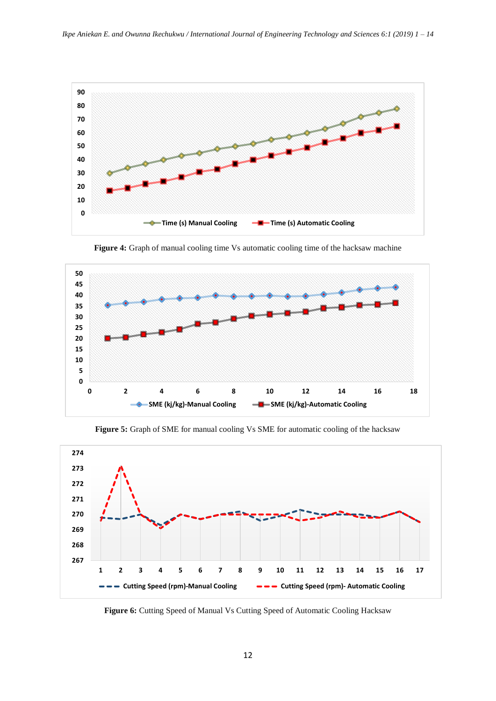

**Figure 4:** Graph of manual cooling time Vs automatic cooling time of the hacksaw machine



**Figure 5:** Graph of SME for manual cooling Vs SME for automatic cooling of the hacksaw



**Figure 6:** Cutting Speed of Manual Vs Cutting Speed of Automatic Cooling Hacksaw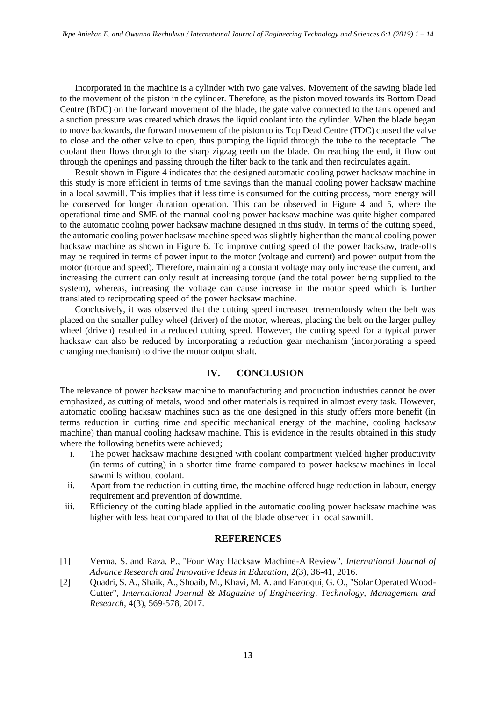Incorporated in the machine is a cylinder with two gate valves. Movement of the sawing blade led to the movement of the piston in the cylinder. Therefore, as the piston moved towards its Bottom Dead Centre (BDC) on the forward movement of the blade, the gate valve connected to the tank opened and a suction pressure was created which draws the liquid coolant into the cylinder. When the blade began to move backwards, the forward movement of the piston to its Top Dead Centre (TDC) caused the valve to close and the other valve to open, thus pumping the liquid through the tube to the receptacle. The coolant then flows through to the sharp zigzag teeth on the blade. On reaching the end, it flow out through the openings and passing through the filter back to the tank and then recirculates again.

Result shown in Figure 4 indicates that the designed automatic cooling power hacksaw machine in this study is more efficient in terms of time savings than the manual cooling power hacksaw machine in a local sawmill. This implies that if less time is consumed for the cutting process, more energy will be conserved for longer duration operation. This can be observed in Figure 4 and 5, where the operational time and SME of the manual cooling power hacksaw machine was quite higher compared to the automatic cooling power hacksaw machine designed in this study. In terms of the cutting speed, the automatic cooling power hacksaw machine speed was slightly higher than the manual cooling power hacksaw machine as shown in Figure 6. To improve cutting speed of the power hacksaw, trade-offs may be required in terms of power input to the motor (voltage and current) and power output from the motor (torque and speed). Therefore, maintaining a constant voltage may only increase the current, and increasing the current can only result at increasing torque (and the total power being supplied to the system), whereas, increasing the voltage can cause increase in the motor speed which is further translated to reciprocating speed of the power hacksaw machine.

Conclusively, it was observed that the cutting speed increased tremendously when the belt was placed on the smaller pulley wheel (driver) of the motor, whereas, placing the belt on the larger pulley wheel (driven) resulted in a reduced cutting speed. However, the cutting speed for a typical power hacksaw can also be reduced by incorporating a reduction gear mechanism (incorporating a speed changing mechanism) to drive the motor output shaft*.*

# **IV. CONCLUSION**

The relevance of power hacksaw machine to manufacturing and production industries cannot be over emphasized, as cutting of metals, wood and other materials is required in almost every task. However, automatic cooling hacksaw machines such as the one designed in this study offers more benefit (in terms reduction in cutting time and specific mechanical energy of the machine, cooling hacksaw machine) than manual cooling hacksaw machine. This is evidence in the results obtained in this study where the following benefits were achieved;

- i. The power hacksaw machine designed with coolant compartment yielded higher productivity (in terms of cutting) in a shorter time frame compared to power hacksaw machines in local sawmills without coolant.
- ii. Apart from the reduction in cutting time, the machine offered huge reduction in labour, energy requirement and prevention of downtime.
- iii. Efficiency of the cutting blade applied in the automatic cooling power hacksaw machine was higher with less heat compared to that of the blade observed in local sawmill.

### **REFERENCES**

- [1] Verma, S. and Raza, P., "Four Way Hacksaw Machine-A Review", *International Journal of Advance Research and Innovative Ideas in Education,* 2(3), 36-41, 2016.
- [2] Quadri, S. A., Shaik, A., Shoaib, M., Khavi, M. A. and Farooqui, G. O., "Solar Operated Wood-Cutter", *International Journal & Magazine of Engineering, Technology, Management and Research,* 4(3), 569-578, 2017.